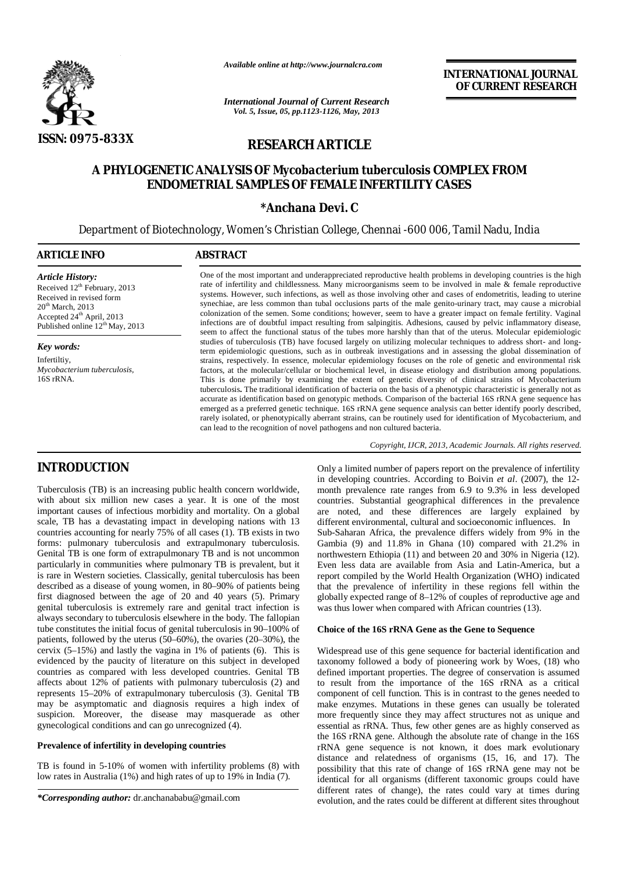

*Available online at http://www.journalcra.com*

*International Journal of Current Research Vol. 5, Issue, 05, pp.1123-1126, May, 2013*

**INTERNATIONAL JOURNAL OF CURRENT RESEARCH** 

# **RESEARCH ARTICLE**

# **A PHYLOGENETIC ANALYSIS OF** *Mycobacterium tuberculosis* **COMPLEX FROM ENDOMETRIAL SAMPLES OF FEMALE INFERTILITY CASES**

## **\*Anchana Devi. C**

Department of Biotechnology, Women's Christian College, Chennai -600 006, Tamil Nadu, India

| <b>ARTICLE INFO</b>                                                                                                                                                                          | <b>ABSTRACT</b>                                                                                                                                                                                                                                                                                                                                                                                                                                                                                                                                                                                                                                                                                                                                                                                                                        |  |  |
|----------------------------------------------------------------------------------------------------------------------------------------------------------------------------------------------|----------------------------------------------------------------------------------------------------------------------------------------------------------------------------------------------------------------------------------------------------------------------------------------------------------------------------------------------------------------------------------------------------------------------------------------------------------------------------------------------------------------------------------------------------------------------------------------------------------------------------------------------------------------------------------------------------------------------------------------------------------------------------------------------------------------------------------------|--|--|
| <b>Article History:</b><br>Received 12 <sup>th</sup> February, 2013<br>Received in revised form<br>$20th$ March, 2013<br>Accepted $24th$ April, 2013<br>Published online $12^{th}$ May, 2013 | One of the most important and underappreciated reproductive health problems in developing countries is the high<br>rate of infertility and childlessness. Many microorganisms seem to be involved in male & female reproductive<br>systems. However, such infections, as well as those involving other and cases of endometritis, leading to uterine<br>synechiae, are less common than tubal occlusions parts of the male genito-urinary tract, may cause a microbial<br>colonization of the semen. Some conditions; however, seem to have a greater impact on female fertility. Vaginal<br>infections are of doubtful impact resulting from salpingitis. Adhesions, caused by pelvic inflammatory disease,<br>seem to affect the functional status of the tubes more harshly than that of the uterus. Molecular epidemiologic        |  |  |
| Key words:                                                                                                                                                                                   | studies of tuberculosis (TB) have focused largely on utilizing molecular techniques to address short- and long-<br>term epidemiologic questions, such as in outbreak investigations and in assessing the global dissemination of                                                                                                                                                                                                                                                                                                                                                                                                                                                                                                                                                                                                       |  |  |
| Infertiltiy,<br>Mycobacterium tuberculosis,<br>16S rRNA.                                                                                                                                     | strains, respectively. In essence, molecular epidemiology focuses on the role of genetic and environmental risk<br>factors, at the molecular/cellular or biochemical level, in disease etiology and distribution among populations.<br>This is done primarily by examining the extent of genetic diversity of clinical strains of Mycobacterium<br>tuberculosis. The traditional identification of bacteria on the basis of a phenotypic characteristic is generally not as<br>accurate as identification based on genotypic methods. Comparison of the bacterial 16S rRNA gene sequence has<br>emerged as a preferred genetic technique. 16S rRNA gene sequence analysis can better identify poorly described,<br>rarely isolated, or phenotypically aberrant strains, can be routinely used for identification of Mycobacterium, and |  |  |

can lead to the recognition of novel pathogens and non cultured bacteria.

## **INTRODUCTION**

Tuberculosis (TB) is an increasing public health concern worldwide, with about six million new cases a year. It is one of the most important causes of infectious morbidity and mortality. On a global scale, TB has a devastating impact in developing nations with 13 countries accounting for nearly 75% of all cases (1). TB exists in two forms: pulmonary tuberculosis and extrapulmonary tuberculosis. Genital TB is one form of extrapulmonary TB and is not uncommon particularly in communities where pulmonary TB is prevalent, but it is rare in Western societies. Classically, genital tuberculosis has been described as a disease of young women, in 80–90% of patients being first diagnosed between the age of 20 and 40 years (5). Primary genital tuberculosis is extremely rare and genital tract infection is always secondary to tuberculosis elsewhere in the body. The fallopian tube constitutes the initial focus of genital tuberculosis in 90–100% of patients, followed by the uterus (50–60%), the ovaries (20–30%), the cervix (5–15%) and lastly the vagina in 1% of patients (6). This is evidenced by the paucity of literature on this subject in developed countries as compared with less developed countries. Genital TB affects about 12% of patients with pulmonary tuberculosis (2) and represents 15–20% of extrapulmonary tuberculosis (3). Genital TB may be asymptomatic and diagnosis requires a high index of suspicion. Moreover, the disease may masquerade as other gynecological conditions and can go unrecognized (4).

## **Prevalence of infertility in developing countries**

TB is found in 5-10% of women with infertility problems (8) with low rates in Australia (1%) and high rates of up to 19% in India (7).

*Copyright, IJCR, 2013, Academic Journals. All rights reserved.*

Only a limited number of papers report on the prevalence of infertility in developing countries. According to Boivin *et al*. (2007), the 12 month prevalence rate ranges from 6.9 to 9.3% in less developed countries. Substantial geographical differences in the prevalence are noted, and these differences are largely explained by different environmental, cultural and socioeconomic influences. In Sub-Saharan Africa, the prevalence differs widely from 9% in the Gambia (9) and 11.8% in Ghana (10) compared with 21.2% in northwestern Ethiopia (11) and between 20 and 30% in Nigeria (12). Even less data are available from Asia and Latin-America, but a report compiled by the World Health Organization (WHO) indicated that the prevalence of infertility in these regions fell within the globally expected range of 8–12% of couples of reproductive age and was thus lower when compared with African countries (13).

## **Choice of the 16S rRNA Gene as the Gene to Sequence**

Widespread use of this gene sequence for bacterial identification and taxonomy followed a body of pioneering work by Woes, (18) who defined important properties. The degree of conservation is assumed to result from the importance of the 16S rRNA as a critical component of cell function. This is in contrast to the genes needed to make enzymes. Mutations in these genes can usually be tolerated more frequently since they may affect structures not as unique and essential as rRNA. Thus, few other genes are as highly conserved as the 16S rRNA gene. Although the absolute rate of change in the 16S rRNA gene sequence is not known, it does mark evolutionary distance and relatedness of organisms (15, 16, and 17). The possibility that this rate of change of 16S rRNA gene may not be identical for all organisms (different taxonomic groups could have different rates of change), the rates could vary at times during evolution, and the rates could be different at different sites throughout

*<sup>\*</sup>Corresponding author:* dr.anchanababu@gmail.com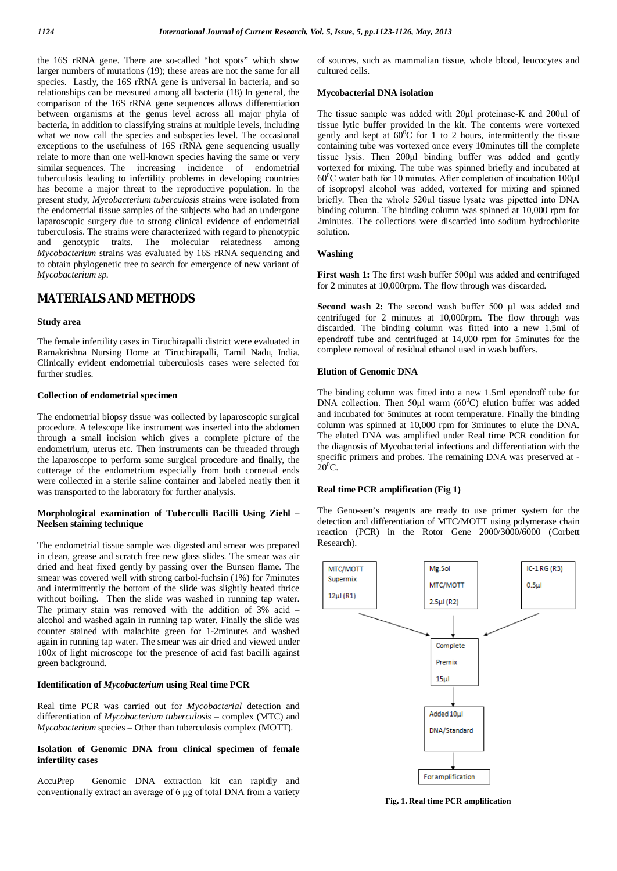the 16S rRNA gene. There are so-called "hot spots" which show larger numbers of mutations (19); these areas are not the same for all species. Lastly, the 16S rRNA gene is universal in bacteria, and so relationships can be measured among all bacteria (18) In general, the comparison of the 16S rRNA gene sequences allows differentiation between organisms at the genus level across all major phyla of bacteria, in addition to classifying strains at multiple levels, including what we now call the species and subspecies level. The occasional exceptions to the usefulness of 16S rRNA gene sequencing usually relate to more than one well-known species having the same or very similar sequences. The increasing incidence of endometrial tuberculosis leading to infertility problems in developing countries has become a major threat to the reproductive population. In the present study, *Mycobacterium tuberculosis* strains were isolated from the endometrial tissue samples of the subjects who had an undergone laparoscopic surgery due to strong clinical evidence of endometrial tuberculosis. The strains were characterized with regard to phenotypic and genotypic traits. The molecular relatedness among *Mycobacterium* strains was evaluated by 16S rRNA sequencing and to obtain phylogenetic tree to search for emergence of new variant of *Mycobacterium sp.*

## **MATERIALS AND METHODS**

#### **Study area**

The female infertility cases in Tiruchirapalli district were evaluated in Ramakrishna Nursing Home at Tiruchirapalli, Tamil Nadu, India. Clinically evident endometrial tuberculosis cases were selected for further studies.

## **Collection of endometrial specimen**

The endometrial biopsy tissue was collected by laparoscopic surgical procedure. A telescope like instrument was inserted into the abdomen through a small incision which gives a complete picture of the endometrium, uterus etc. Then instruments can be threaded through the laparoscope to perform some surgical procedure and finally, the cutterage of the endometrium especially from both corneual ends were collected in a sterile saline container and labeled neatly then it was transported to the laboratory for further analysis.

#### **Morphological examination of Tuberculli Bacilli Using Ziehl – Neelsen staining technique**

The endometrial tissue sample was digested and smear was prepared in clean, grease and scratch free new glass slides. The smear was air dried and heat fixed gently by passing over the Bunsen flame. The smear was covered well with strong carbol-fuchsin (1%) for 7minutes and intermittently the bottom of the slide was slightly heated thrice without boiling. Then the slide was washed in running tap water. The primary stain was removed with the addition of 3% acid – alcohol and washed again in running tap water. Finally the slide was counter stained with malachite green for 1-2minutes and washed again in running tap water. The smear was air dried and viewed under 100x of light microscope for the presence of acid fast bacilli against green background.

#### **Identification of** *Mycobacterium* **using Real time PCR**

Real time PCR was carried out for *Mycobacterial* detection and differentiation of *Mycobacterium tuberculosis* – complex (MTC) and *Mycobacterium* species – Other than tuberculosis complex (MOTT).

### **Isolation of Genomic DNA from clinical specimen of female infertility cases**

AccuPrep Genomic DNA extraction kit can rapidly and conventionally extract an average of 6 µg of total DNA from a variety of sources, such as mammalian tissue, whole blood, leucocytes and cultured cells.

#### **Mycobacterial DNA isolation**

The tissue sample was added with 20µl proteinase-K and 200µl of tissue lytic buffer provided in the kit. The contents were vortexed gently and kept at  $60^{\circ}$ C for 1 to 2 hours, intermittently the tissue containing tube was vortexed once every 10minutes till the complete tissue lysis. Then 200µl binding buffer was added and gently vortexed for mixing. The tube was spinned briefly and incubated at  $60^{\circ}$ C water bath for 10 minutes. After completion of incubation 100 $\mu$ l of isopropyl alcohol was added, vortexed for mixing and spinned briefly. Then the whole 520µl tissue lysate was pipetted into DNA binding column. The binding column was spinned at 10,000 rpm for 2minutes. The collections were discarded into sodium hydrochlorite solution.

### **Washing**

**First wash 1:** The first wash buffer 500 $\mu$ l was added and centrifuged for 2 minutes at 10,000rpm. The flow through was discarded.

Second wash 2: The second wash buffer 500 µl was added and centrifuged for 2 minutes at 10,000rpm. The flow through was discarded. The binding column was fitted into a new 1.5ml of ependroff tube and centrifuged at 14,000 rpm for 5minutes for the complete removal of residual ethanol used in wash buffers.

#### **Elution of Genomic DNA**

The binding column was fitted into a new 1.5ml ependroff tube for DNA collection. Then  $50\mu$ l warm  $(60^{\circ}$ C) elution buffer was added and incubated for 5minutes at room temperature. Finally the binding column was spinned at 10,000 rpm for 3minutes to elute the DNA. The eluted DNA was amplified under Real time PCR condition for the diagnosis of Mycobacterial infections and differentiation with the specific primers and probes. The remaining DNA was preserved at -  $20^0C$ 

### **Real time PCR amplification (Fig 1)**

The Geno-sen's reagents are ready to use primer system for the detection and differentiation of MTC/MOTT using polymerase chain reaction (PCR) in the Rotor Gene 2000/3000/6000 (Corbett Research).



**Fig. 1. Real time PCR amplification**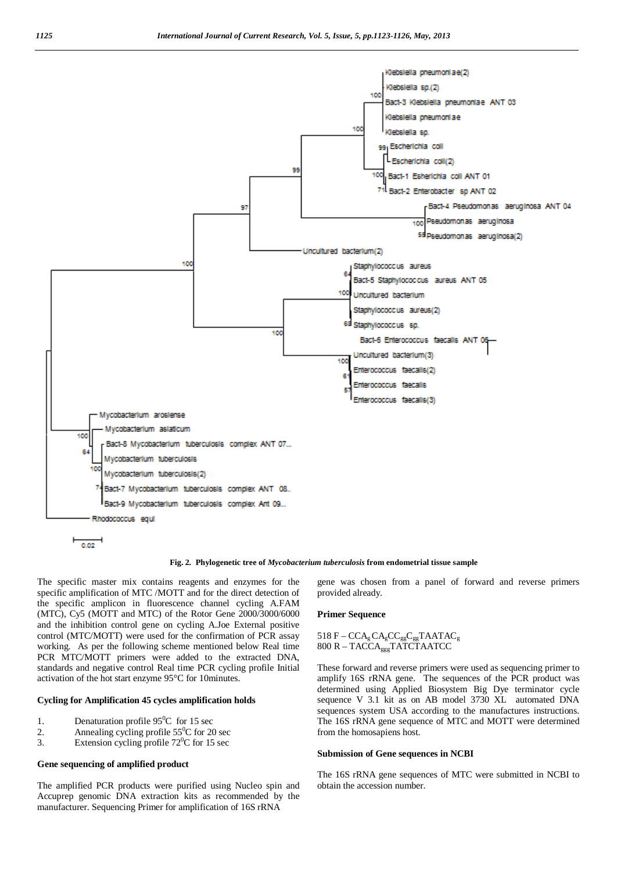

$$
\begin{array}{c}\n\hline\n0.02\n\end{array}
$$

**Fig. 2***.* **Phylogenetic tree of** *Mycobacterium tuberculosis* **from endometrial tissue sample**

The specific master mix contains reagents and enzymes for the specific amplification of MTC /MOTT and for the direct detection of the specific amplicon in fluorescence channel cycling A.FAM (MTC), Cy5 (MOTT and MTC) of the Rotor Gene 2000/3000/6000 and the inhibition control gene on cycling A.Joe External positive control (MTC/MOTT) were used for the confirmation of PCR assay working. As per the following scheme mentioned below Real time PCR MTC/MOTT primers were added to the extracted DNA, standards and negative control Real time PCR cycling profile Initial activation of the hot start enzyme 95°C for 10minutes.

#### **Cycling for Amplification 45 cycles amplification holds**

- 1. Denaturation profile  $95^{\circ}$ C for 15 sec<br>2. Annealing cycling profile  $55^{\circ}$ C for 20
- 2. Annealing cycling profile  $55^{\circ}$ C for 20 sec<br>3. Extension cycling profile  $72^{\circ}$ C for 15 sec
- Extension cycling profile  $72^{\circ}$ C for 15 sec

## **Gene sequencing of amplified product**

The amplified PCR products were purified using Nucleo spin and Accuprep genomic DNA extraction kits as recommended by the manufacturer. Sequencing Primer for amplification of 16S rRNA

gene was chosen from a panel of forward and reverse primers provided already.

#### **Primer Sequence**

## 518  $F - CCA<sub>g</sub>CA<sub>g</sub>CC<sub>gg</sub>C<sub>gg</sub>TAATAC<sub>g</sub>$ 800 R – TACCA<sub>ggg</sub>TATCTAATCC

These forward and reverse primers were used as sequencing primer to amplify 16S rRNA gene. The sequences of the PCR product was determined using Applied Biosystem Big Dye terminator cycle sequence V 3.1 kit as on AB model 3730 XL automated DNA sequences system USA according to the manufactures instructions. The 16S rRNA gene sequence of MTC and MOTT were determined from the homosapiens host.

#### **Submission of Gene sequences in NCBI**

The 16S rRNA gene sequences of MTC were submitted in NCBI to obtain the accession number.